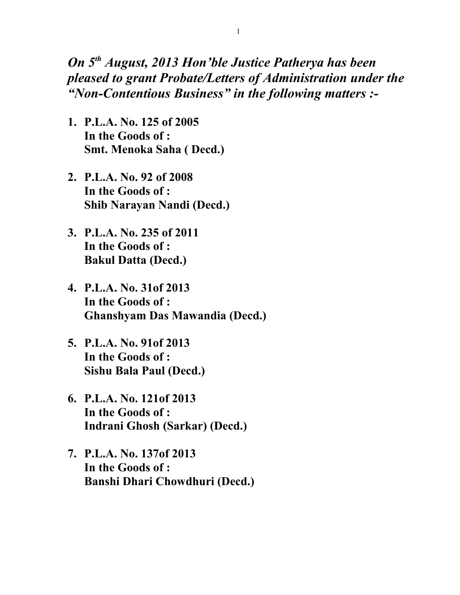## *On 5th August, 2013 Hon'ble Justice Patherya has been pleased to grant Probate/Letters of Administration under the "Non-Contentious Business" in the following matters :-*

- **1. P.L.A. No. 125 of 2005 In the Goods of : Smt. Menoka Saha ( Decd.)**
- **2. P.L.A. No. 92 of 2008 In the Goods of : Shib Narayan Nandi (Decd.)**
- **3. P.L.A. No. 235 of 2011 In the Goods of : Bakul Datta (Decd.)**
- **4. P.L.A. No. 31of 2013 In the Goods of : Ghanshyam Das Mawandia (Decd.)**
- **5. P.L.A. No. 91of 2013 In the Goods of : Sishu Bala Paul (Decd.)**
- **6. P.L.A. No. 121of 2013 In the Goods of : Indrani Ghosh (Sarkar) (Decd.)**
- **7. P.L.A. No. 137of 2013 In the Goods of : Banshi Dhari Chowdhuri (Decd.)**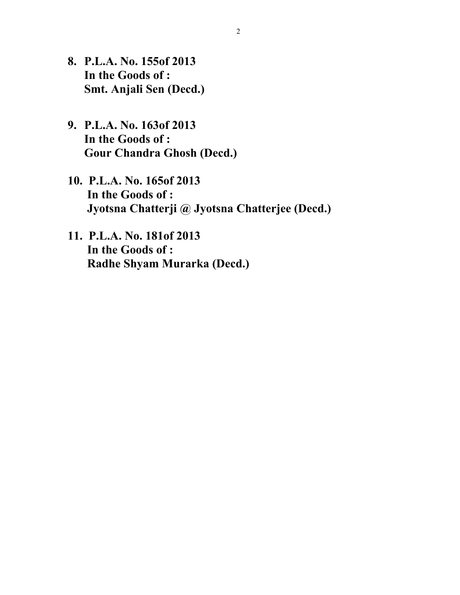- **8. P.L.A. No. 155of 2013 In the Goods of : Smt. Anjali Sen (Decd.)**
- **9. P.L.A. No. 163of 2013 In the Goods of : Gour Chandra Ghosh (Decd.)**
- **10. P.L.A. No. 165of 2013 In the Goods of : Jyotsna Chatterji @ Jyotsna Chatterjee (Decd.)**
- **11. P.L.A. No. 181of 2013 In the Goods of : Radhe Shyam Murarka (Decd.)**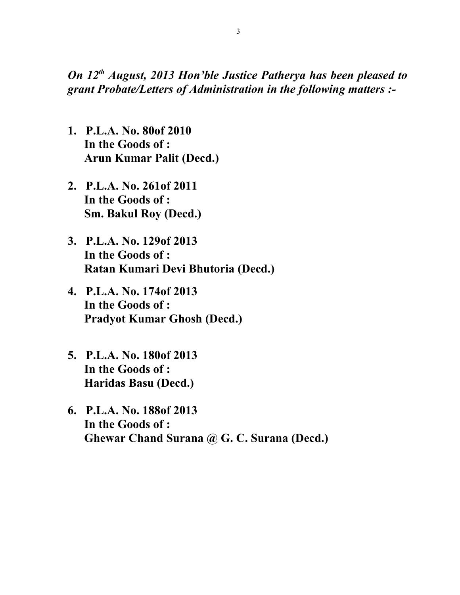*On 12th August, 2013 Hon'ble Justice Patherya has been pleased to grant Probate/Letters of Administration in the following matters :-*

- **1. P.L.A. No. 80of 2010 In the Goods of : Arun Kumar Palit (Decd.)**
- **2. P.L.A. No. 261of 2011 In the Goods of : Sm. Bakul Roy (Decd.)**
- **3. P.L.A. No. 129of 2013 In the Goods of : Ratan Kumari Devi Bhutoria (Decd.)**
- **4. P.L.A. No. 174of 2013 In the Goods of : Pradyot Kumar Ghosh (Decd.)**
- **5. P.L.A. No. 180of 2013 In the Goods of : Haridas Basu (Decd.)**
- **6. P.L.A. No. 188of 2013 In the Goods of : Ghewar Chand Surana @ G. C. Surana (Decd.)**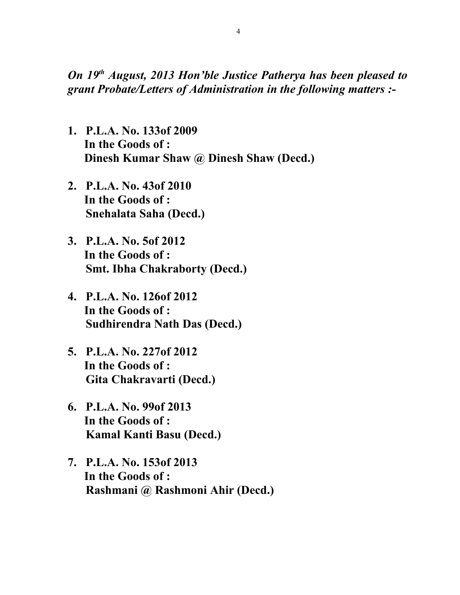*On 19th August, 2013 Hon'ble Justice Patherya has been pleased to grant Probate/Letters of Administration in the following matters :-*

- **1. P.L.A. No. 133of 2009 In the Goods of : Dinesh Kumar Shaw @ Dinesh Shaw (Decd.)**
- **2. P.L.A. No. 43of 2010 In the Goods of : Snehalata Saha (Decd.)**
- **3. P.L.A. No. 5of 2012 In the Goods of : Smt. Ibha Chakraborty (Decd.)**
- **4. P.L.A. No. 126of 2012 In the Goods of : Sudhirendra Nath Das (Decd.)**
- **5. P.L.A. No. 227of 2012 In the Goods of : Gita Chakravarti (Decd.)**
- **6. P.L.A. No. 99of 2013 In the Goods of : Kamal Kanti Basu (Decd.)**
- **7. P.L.A. No. 153of 2013 In the Goods of : Rashmani @ Rashmoni Ahir (Decd.)**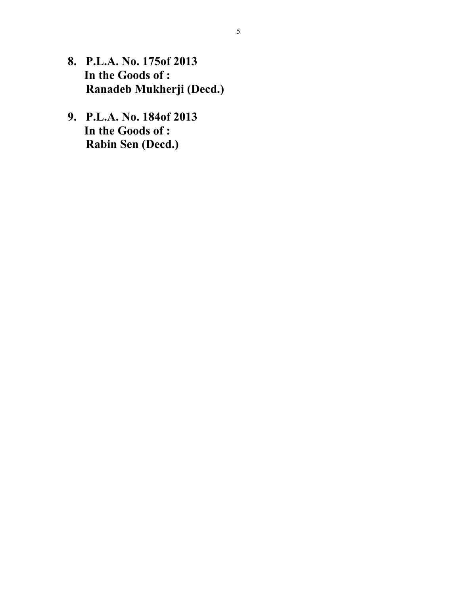- **8. P.L.A. No. 175of 2013 In the Goods of : Ranadeb Mukherji (Decd.)**
- **9. P.L.A. No. 184of 2013 In the Goods of : Rabin Sen (Decd.)**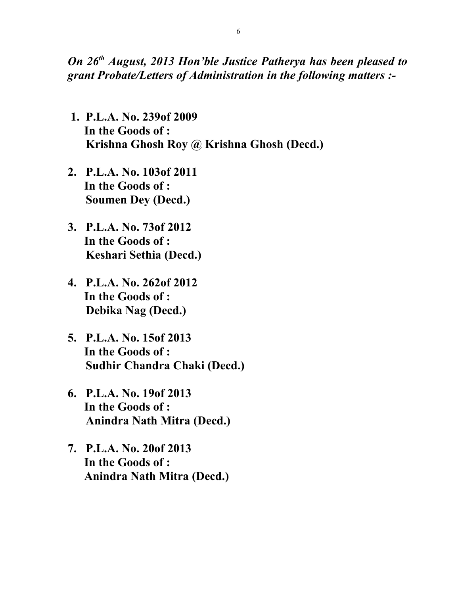*On 26th August, 2013 Hon'ble Justice Patherya has been pleased to grant Probate/Letters of Administration in the following matters :-*

- **1. P.L.A. No. 239of 2009 In the Goods of : Krishna Ghosh Roy @ Krishna Ghosh (Decd.)**
- **2. P.L.A. No. 103of 2011 In the Goods of : Soumen Dey (Decd.)**
- **3. P.L.A. No. 73of 2012 In the Goods of : Keshari Sethia (Decd.)**
- **4. P.L.A. No. 262of 2012 In the Goods of : Debika Nag (Decd.)**
- **5. P.L.A. No. 15of 2013 In the Goods of : Sudhir Chandra Chaki (Decd.)**
- **6. P.L.A. No. 19of 2013 In the Goods of : Anindra Nath Mitra (Decd.)**
- **7. P.L.A. No. 20of 2013 In the Goods of : Anindra Nath Mitra (Decd.)**